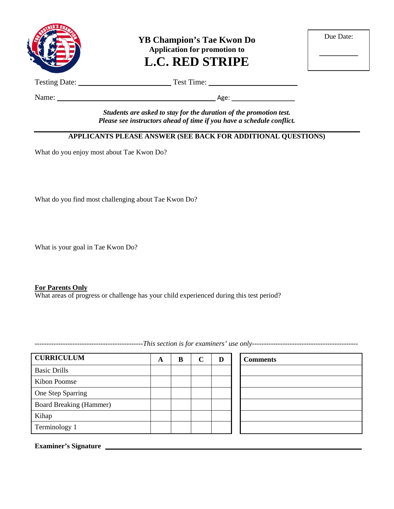

**YB Champion's Tae Kwon Do Application for promotion to L.C. RED STRIPE**

| Due Date: |  |
|-----------|--|
|           |  |
|           |  |

Testing Date: \_\_\_\_\_\_\_\_\_\_\_\_\_\_\_\_\_\_\_\_\_\_\_\_ Test Time: \_\_\_\_\_\_\_\_\_\_\_\_\_\_\_\_\_\_\_\_\_\_\_

Name: \_\_\_\_\_\_\_\_\_\_\_\_\_\_\_\_\_\_\_\_\_\_\_\_\_\_\_\_\_\_\_\_\_\_\_\_\_\_\_\_\_ Age: \_\_\_\_\_\_\_\_\_\_\_\_\_\_\_\_\_\_

*Students are asked to stay for the duration of the promotion test. Please see instructors ahead of time if you have a schedule conflict.*

## **APPLICANTS PLEASE ANSWER (SEE BACK FOR ADDITIONAL QUESTIONS)**

What do you enjoy most about Tae Kwon Do?

What do you find most challenging about Tae Kwon Do?

What is your goal in Tae Kwon Do?

#### **For Parents Only**

What areas of progress or challenge has your child experienced during this test period?

**CURRICULUM A B C D Comments** Basic Drills Kibon Poomse One Step Sparring Board Breaking (Hammer) Kihap Terminology 1

**Examiner's Signature**

----------------------------------------------*This section is for examiners' use only---------------------------------------------*